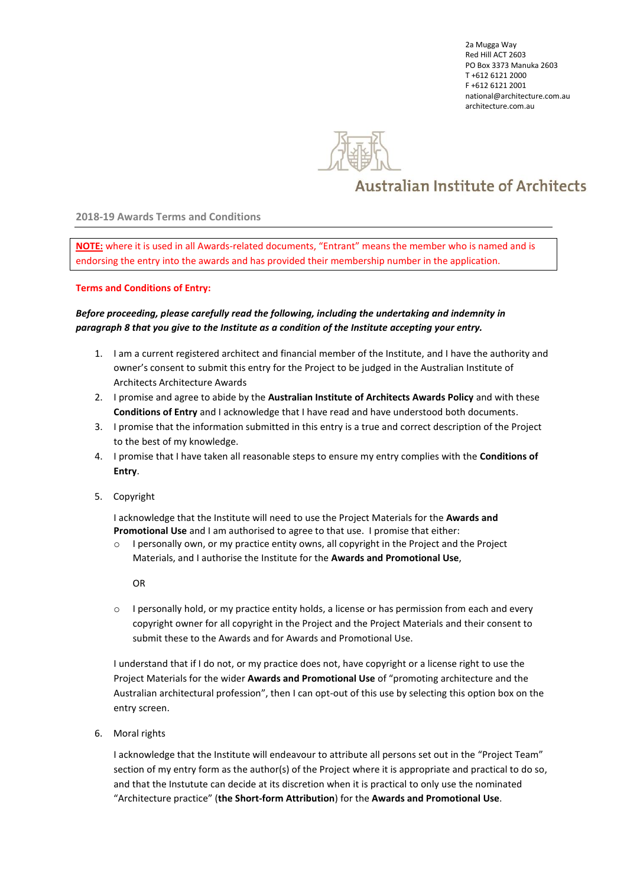2a Mugga Way Red Hill ACT 2603 PO Box 3373 Manuka 2603 T +612 6121 2000 F +612 6121 2001 national@architecture.com.au architecture.com.au



## **Australian Institute of Architects**

**2018-19 Awards Terms and Conditions**

**NOTE:** where it is used in all Awards-related documents, "Entrant" means the member who is named and is endorsing the entry into the awards and has provided their membership number in the application.

## **Terms and Conditions of Entry:**

## *Before proceeding, please carefully read the following, including the undertaking and indemnity in paragraph 8 that you give to the Institute as a condition of the Institute accepting your entry.*

- 1. I am a current registered architect and financial member of the Institute, and I have the authority and owner's consent to submit this entry for the Project to be judged in the Australian Institute of Architects Architecture Awards
- 2. I promise and agree to abide by the **Australian Institute of Architects Awards Policy** and with these **Conditions of Entry** and I acknowledge that I have read and have understood both documents.
- 3. I promise that the information submitted in this entry is a true and correct description of the Project to the best of my knowledge.
- 4. I promise that I have taken all reasonable steps to ensure my entry complies with the **Conditions of Entry**.
- 5. Copyright

I acknowledge that the Institute will need to use the Project Materials for the **Awards and Promotional Use** and I am authorised to agree to that use. I promise that either:

o I personally own, or my practice entity owns, all copyright in the Project and the Project Materials, and I authorise the Institute for the **Awards and Promotional Use**,

OR

 $\circ$  I personally hold, or my practice entity holds, a license or has permission from each and every copyright owner for all copyright in the Project and the Project Materials and their consent to submit these to the Awards and for Awards and Promotional Use.

I understand that if I do not, or my practice does not, have copyright or a license right to use the Project Materials for the wider **Awards and Promotional Use** of "promoting architecture and the Australian architectural profession", then I can opt-out of this use by selecting this option box on the entry screen.

6. Moral rights

I acknowledge that the Institute will endeavour to attribute all persons set out in the "Project Team" section of my entry form as the author(s) of the Project where it is appropriate and practical to do so, and that the Instutute can decide at its discretion when it is practical to only use the nominated "Architecture practice" (**the Short-form Attribution**) for the **Awards and Promotional Use**.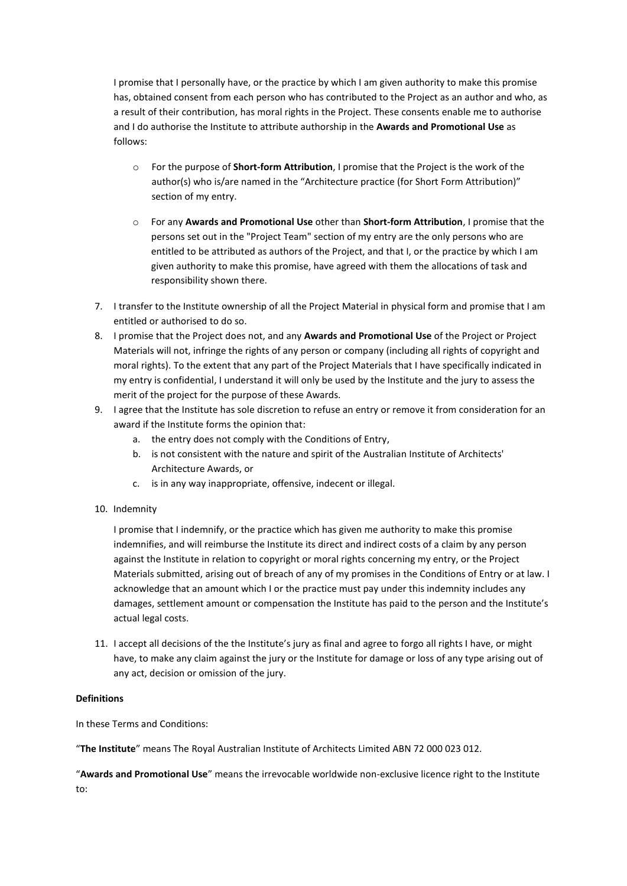I promise that I personally have, or the practice by which I am given authority to make this promise has, obtained consent from each person who has contributed to the Project as an author and who, as a result of their contribution, has moral rights in the Project. These consents enable me to authorise and I do authorise the Institute to attribute authorship in the **Awards and Promotional Use** as follows:

- o For the purpose of **Short-form Attribution**, I promise that the Project is the work of the author(s) who is/are named in the "Architecture practice (for Short Form Attribution)" section of my entry.
- o For any **Awards and Promotional Use** other than **Short-form Attribution**, I promise that the persons set out in the "Project Team" section of my entry are the only persons who are entitled to be attributed as authors of the Project, and that I, or the practice by which I am given authority to make this promise, have agreed with them the allocations of task and responsibility shown there.
- 7. I transfer to the Institute ownership of all the Project Material in physical form and promise that I am entitled or authorised to do so.
- 8. I promise that the Project does not, and any **Awards and Promotional Use** of the Project or Project Materials will not, infringe the rights of any person or company (including all rights of copyright and moral rights). To the extent that any part of the Project Materials that I have specifically indicated in my entry is confidential, I understand it will only be used by the Institute and the jury to assess the merit of the project for the purpose of these Awards.
- 9. I agree that the Institute has sole discretion to refuse an entry or remove it from consideration for an award if the Institute forms the opinion that:
	- a. the entry does not comply with the Conditions of Entry,
	- b. is not consistent with the nature and spirit of the Australian Institute of Architects' Architecture Awards, or
	- c. is in any way inappropriate, offensive, indecent or illegal.
- 10. Indemnity

I promise that I indemnify, or the practice which has given me authority to make this promise indemnifies, and will reimburse the Institute its direct and indirect costs of a claim by any person against the Institute in relation to copyright or moral rights concerning my entry, or the Project Materials submitted, arising out of breach of any of my promises in the Conditions of Entry or at law. I acknowledge that an amount which I or the practice must pay under this indemnity includes any damages, settlement amount or compensation the Institute has paid to the person and the Institute's actual legal costs.

11. I accept all decisions of the the Institute's jury as final and agree to forgo all rights I have, or might have, to make any claim against the jury or the Institute for damage or loss of any type arising out of any act, decision or omission of the jury.

## **Definitions**

In these Terms and Conditions:

"**The Institute**" means The Royal Australian Institute of Architects Limited ABN 72 000 023 012.

"**Awards and Promotional Use**" means the irrevocable worldwide non-exclusive licence right to the Institute to: